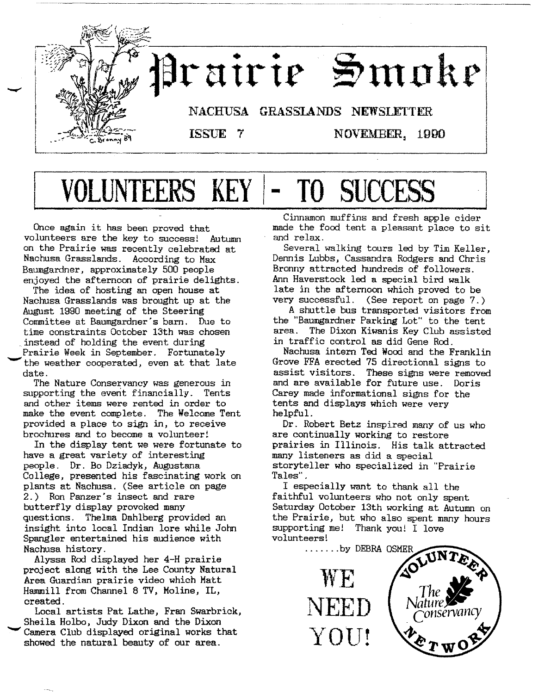

# **VOLUNTEERS KEY** - **TO SUCCESS**

Once again it has been proved that volunteers are the key to success! Autumn on the Prairie was recently celebrated at Nachusa Grasslands. According to Max Baumgardner, approximately 500 people enjoyed the afternoon of prairie delights.

The idea of hosting an open house at Nachusa Grasslands was brought up at the August 1990 meeting of the Steering Committee at Baumgardner's barn. Due to time constraints October 13th was chosen .instead of holding the event during Prairie Week in September. Fortunately the weather cooperated, even at that late date.

The Nature Conservancy was generous in supporting the event financially. Tents and other items were rented in order to make the event complete. The Welcome Tent provided a place to sign in, to receive brochures and to become a volunteer!

In the display tent we were fortunate to have a great variety of interesting people. Dr. Bo Dziadyk, Augustana College, presented his fascinating work on plants at Nachusa. (See article on page 2.) Ron Panzer's insect and rare butterfly display provoked many questions. Thelma Dahlberg provided an insight into local Indian lore while John Spangler entertained his audience with Nachusa history.

Alyssa Rod displayed her 4-H prairie project along with the Lee County Natural Area Guardian prairie video which Matt Hammill from Channel 8 TV, Moline, IL, created.

Local artists Pat Lathe, Fran Swarbrick, Sheila Holbo, Judy Dixon and the Dixon Camera Club displayed original works that showed the natural beauty of our area.

Cinnamon muffins and fresh apple cider made the food tent a pleasant place to sit and relax.

Several walking tours led by Tim Keller, Dennis Lubbs, Cassandra Rodgers and Chris Bronny attracted hundreds of followers. Ann Haverstock led a special bird walk late in the afternoon which proved to be very successful. (See report on page 7.)

A shuttle bus transported visitors from the "Baumgardner Parking Lot" to the tent area. The Dixon Kiwanis Key Club assisted in traffic control as did Gene Rod .

Nachusa intern Ted Wood and the Franklin Grove FFA erected 75 directional signs to assist visitors. These signs were removed and are available for future use. Doris Carey made informational signs for the tents and displays which were very helpful.

Dr. Robert Betz inspired many of us who are continually working to restore prairies in Illinois. His talk attracted many listeners as did a special storyteller who specialized in "Prairie Tales" .

I especially want to thank all the faithful volunteers who not only spent Saturday October 13th working at Autumn on the Prairie, but who also spent many hours supporting me! Thank you! I love volunteers!

> NEED  $\rm YO U!$

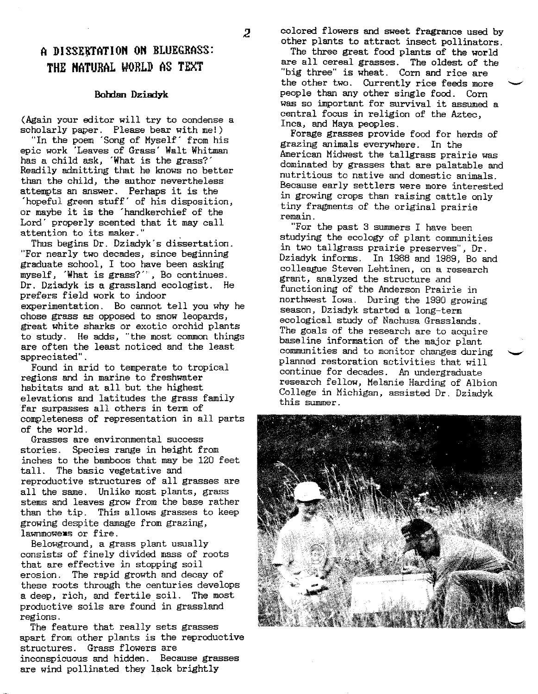2

#### A DISSERTATION ON BLUEGRASS: **THE HATURAL WORLD AS TEXT**

#### **Bolrlan Dziadyk**

(Again your editor will try to condense a scholarly paper. Please bear with me!)

"In the poem 'Song of Myself' from his epic work 'Leaves of Grass' Walt Whitman has a child ask, 'What is the grass?' Readily admitting that he knows no better than the child, the author nevertheless attempts an answer. Perhaps it is the 'hopeful green stuff' of his disposition, or maybe it is the 'handkerchief of the Lord' properly scented that it may call attention to its maker."

Thus begins Dr. Dziadyk's dissertation. "For nearly two decades, since beginning graduate school, I too have been asking myself, 'What is grass?''', Bo continues. Dr. Dziadyk is a grassland ecologist. He prefers field work to indoor experimentation. Bo cannot tell you why he chose grass as opposed to snow leopards, great white sharks or exotic orchid plants to study. He adds, "the most common things are often the least noticed and the least appreciated" .

Found in arid to temperate to tropical regions and in marine to freshwater habitats and at all but the highest elevations and latitudes the grass family far surpasses all others in term of completeness of representation in all parts of the world.

Grasses are environmental success stories. Species range in height from inches to the bamboos that may be 120 feet tall. The basic vegetative and reproductive structures of all grasses are all the same. Unlike most plants, grass stems and leaves grow from the base rather than the tip. This allows grasses to keep growing despite damage from grazing. lawnmoweas or fire.

Belowground, a grass plant usually consists of finely divided mass of roots that are effective in stopping soil erosion. The rapid growth and decay of these roots through the centuries develops a deep, rich, and fertile soil. The most productive soils are found in grassland regions.

The feature that really sets grasses apart from other plants is the reproductive structures. Grass flowers are inconspicuous and hidden. Because grasses are wind pollinated they lack brightly

colored flowers and sweet fragrance used by other plants to attract insect pollinators.

The three great food plants of the world are all cereal grasses. The oldest of the "big three" is wheat. Corn and rice are the other two. Currently rice feeds more people than any other single food. Corn was so important for survival it assumed a central focus in religion of the Aztec, Inca, and Maya peoples.

Forage grasses provide food for herds of grazing animals everywhere. In the American Midwest the tallgrass prairie was dominated by grasses that are palatable and nutritious to native and domestic animals. Because early settlers were more interested in growing crops than raising cattle only tiny fragments of the original prairie remain.

"For the past 3 summers I have been studying the ecology of plant communities in two tallgrass prairie preserves", Dr. Dziadyk informs. In 1988 and 1989, Bo and colleague Steven Lehtinen, on a research grant, analyzed the structure and functioning of the Anderson Prairie in northwest Iowa. During the 1990 growing season, Dziadyk started a long-term ecological study of Nachusa Grasslands. The goals of the research are to acquire baseline information of the major plant communities and to monitor changes during planned restoration activities that will continue for decades. An undergraduate research fellow, Melanie Harding of Albion College in Michigan, assisted Dr. Dziadyk this summer.

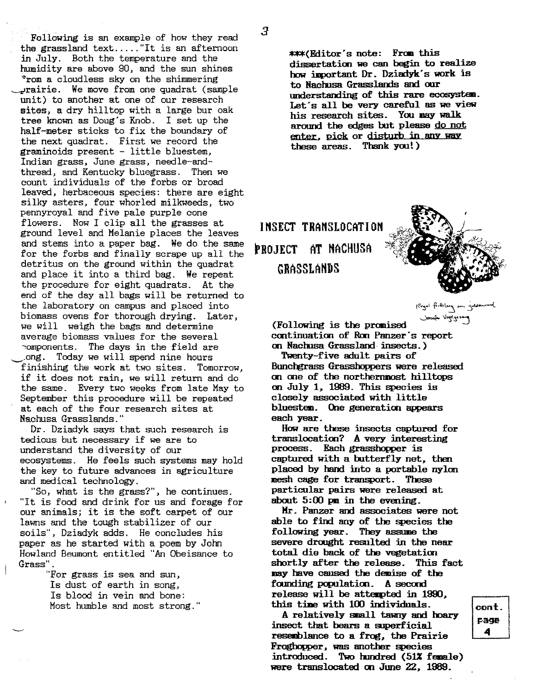$\mathbf{r}$ 

Following is an example of how they read the grassland text ..... "It is an afternoon in July. Both the temperature and the humidity are above 90, and the sun shines ~rom a cloudless sky on the shimmering ~rairie. We move from one quadrat (sample unit) to another at one of our research sites, a dry hilltop with a large bur oak tree known as Doug's Knob. I set up the half-meter sticks to fix the boundary of the next quadrat. First we record the graminoids present - little bluestem, Indian grass, June grass, needle-andthread, and Kentucky bluegrass. Then we count individuals of the forbs or broad leaved, herbaceous species: there are eight silky asters, four whorled milkweeds, two pennyroyal and five pale purple cone flowers. Now I clip all the grasses at ground level and Melanie places the leaves and stems into a paper bag. We do the same for the forbs and finally scrape up all the detritus on the ground within the quadrat and place it into a third bag. We repeat the procedure for eight quadrats. At the end of the day all bags will be returned to the laboratory on campus and placed into biomass ovens for thorough drying. Later, we will weigh the bags and determine average biomass values for the several :omponents. The days in the field are ong. Today we will spend nine hours finishing the work at two sites. Tomorrow, if it does not rain, we will return and do the same. Every two weeks from late May to September this procedure will be repeated at each of the four research sites at Nachusa Grasslands."

Dr. Dziadyk says that such research is tedious but necessary if we are to understand the diversity of our ecosystems. He feels such systems may hold the key to future advances in agriculture and medical technology.

"So, what is the grass?", he continues. "It is food and drink for us and forage for our animals; it is the soft carpet of our lawns and the tough stabilizer of our soils", Dziadyk adds. He concludes his paper as he started with a poem by John Howland Beumont entitled "An Obeisance to Grass" .

> "For grass is sea and sun, Is dust of earth in song, Is blood in vein and bone: Most humble and most strong."

\*\*\*(Editor's note: From this dissertation we can begin to realize how important Dr. Dziadyk's work is to Nachusa Grasslands and our understanding of this rare ecosystao. Let's all be very careful as we view his research sites. You may walk around the edges but please do not enter, pick or disturb in any way these areas. Thankyou!)

INSECT TRANSLOCATION PROJECT AT HACHUSA GRASSLAHDS



Kegal firthlery on gold

 $\alpha$  . Following is the promised continuation of Ron Panzer's report on NachusaGrassland insects.)

Twenty-five adult pairs of Bunchgrass Grasshoppers were released on one of the northernmost hilltops on July 1, 1989. This species is closely associated with little bluestem. One generation appears each year.

Howare these insects captured for translocation? A very interesting process. Each grasshopper is captured with a butterfly net, then placed by hand into a portable nylon mesh cage for transport. These particular pairs were released at about  $5:00$  pm in the evening.

Hr. Panzer and associates were not able to find any of the species the following year. They assume the severe drought resulted in the near total die back of the vegetation shortly after the release. This fact mayhave cansed the demise of the founding population. A second release will be attempted in  $1990$ , this time with 100 individuals.

A relatively small tawny and hoary insect that bears a superficial resemblance to a frog, the Prairie Froghopper, was another species introduced. Two hundred  $(51\texttt{X}$  female) were translocated on June 22, 1989.

 $\mathop{\mathsf{cont}}\nolimits$  . page 4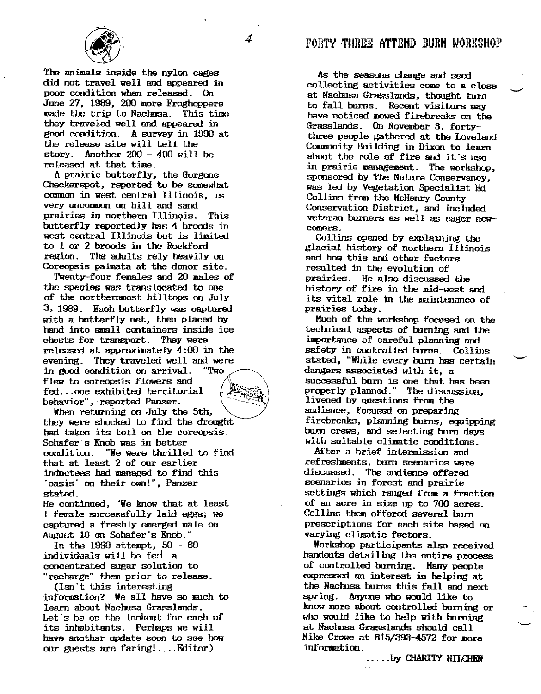



The animals inside the nylon cages did not travel well and appeared in poor condition when released. On June 27, 1989, 200 more Froghoppers made the trip to Nachusa. This time they traveled well and appeared in good condition. A survey in 1990 at the release site will tell the story. Another 200 - 400 will be released at that time.

Aprairie butterfly, the Gorgone Checkerspot. reported to be somewhat common in west central Illinois, is very uncommon on hill and sand prairies in northern Illinois. This butterfly reportedly has 4 broods in west central Illinois but is limited to 1 or 2 broods in the Rockford region. The adults rely heavily on Coreopsis palmata at the donor site.

Twenty-four females and 20 males of the species was translocated to one of the northernmost hilltops on July 3. 1989. Each butterfly was captured with a butterfly net, then placed by hand into small containers inside ice chests for transport. They were released at approximately4:00 in the evening. They traveled well and were in good condition on arrival. "Two flew to coreopsis flowers and  $fed...$  one exhibited territorial behavior", reported Panzer.

When returning on July the 5th. they were shocked to find the drought had taken its toll on the coreopsis. Schafer's Knob was in better condition. "Wewere thrilled to find that at least 2 of our earlier inductees had managed to find this .oasis' on their own!". Panzer stated.

He continued, "Weknowthat at least 1 female successfully laid eggs; we captured a freshly emergedmale on August 10 on Schafer's Knob."

In the 1990 attempt,  $50 - 60$ individuals will be fed a concentrated sugar solution to "recharge" them prior to release.

(Isn't this interesting information? We all have so much to learn about Nachusa Grasslands. Let's be on the lookout for each of its inhabitants. Perhaps wewill have another update soon to see how our guests are faring! .... Editor)

As the seasons change and seed collecting activities come to a close at NachusaGrasslands, thought turn to fall burns. Recent visitors may have noticed nowed firebreaks on the Grasslands. On November 3, fortythree people gathered at the Loveland Community Building in Dixon to learn about the role of fire and it's use in prairie management. The workshop, sponsored by The Nature Conservancy, was led by Vegetation Specialist Ed Collins from the McHenry County Conservation District, and included veteran burners as well as eager newcomers.

Collins opened by explaining the glacial history of northern Illinois and howthis and other factors resulted in the evolution of prairies. He also discussed the history of fire in the mid-west and its vital role in the maintenance of prairies today.

Much of the workshop focused on the technical aspects of burning and the importance of careful planning and safety in controlled burns. Collins stated, "While every burn has certain dangers associated with it, a successful bum is one that has been properly planned." The discussion. livened by questions from the audience, focused on preparing firebreaks, planning bums, equipping bum crews, and selecting bum days with suitable climatic conditions.

After a brief intermission and refreshments, bum scenarios were discussed. The audience offered scenarios in forest and prairie settings which ranged from a fraction of an acre in size up to 700 acres. Collins them offered several burn prescriptions for each site based on varying climatic factors.

Workshop participants also received handouts detailing the entire process of controlled burning. Manypeople expressed an interest in helping at the Nachusabums this fall and next spring. Anyone who would like to know more about controlled burning or who would like to help with burning at NachusaGrasslands should call Mike Crowe at  $815/393-4572$  for more information.

..... by CHARITY HILCHEN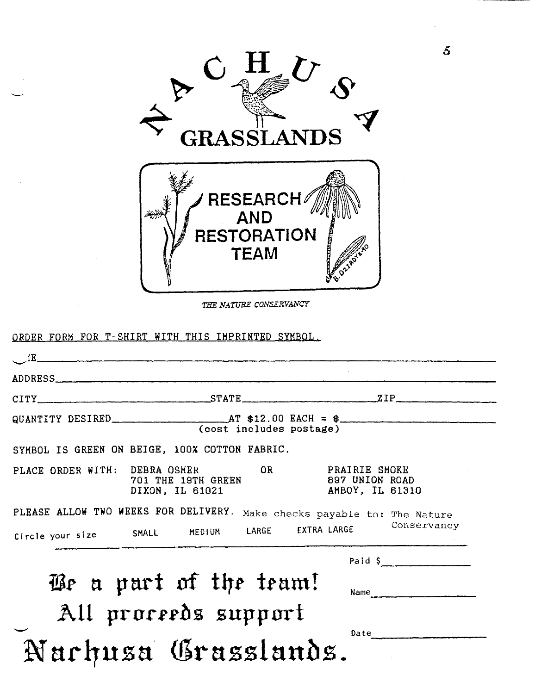

*THE NATURE CONSEZiVANCY*

|                  | ADDRESS                                                                      |                                                                         |
|------------------|------------------------------------------------------------------------------|-------------------------------------------------------------------------|
|                  |                                                                              | $CITY$ $STATE$ $T1P$                                                    |
|                  | (cost includes postage)                                                      |                                                                         |
|                  | SYMBOL IS GREEN ON BEIGE, 100% COTTON FABRIC.                                |                                                                         |
|                  | OR<br>PLACE ORDER WITH: DEBRA OSMER<br>701 THE 19TH GREEN<br>DIXON, IL 61021 | <b>PRAIRIE SMOKE</b><br>897 UNION ROAD<br>AMBOY, IL 61310               |
|                  |                                                                              | PLEASE ALLOW TWO WEEKS FOR DELIVERY. Make checks payable to: The Nature |
| Circle your size | SMALL MEDIUM                                                                 | Conservancy<br>LARGE EXTRA LARGE                                        |
|                  |                                                                              |                                                                         |
|                  |                                                                              | Paid $\frac{1}{2}$                                                      |
|                  | We a part of the team!                                                       | Name                                                                    |
|                  | All proceeds support                                                         |                                                                         |

5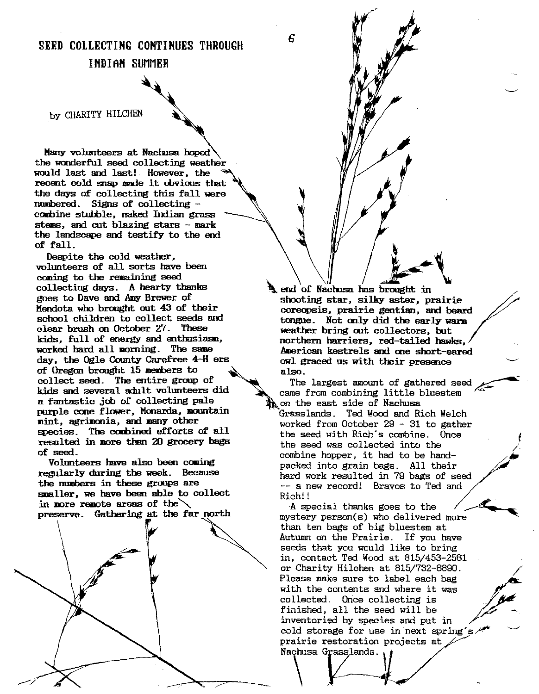SEED COLLECTING CONTINUES THROUGH

6

#### IMDIAM SUMMER

by CHARITY HILCHEN

Manyvolunteers at Naclnsa hoped the wonderful seed collecting weather would last and last! However, the recent cold snap made it obvious that the days of collecting this fall were numbered. Signs of collecting combine stubble, naked Indian grass stems, and cut blazing stars - mark the landscape and testify to the end of fall. Despite the cold weather,

volunteers of all sorts have been coming to the remaining seed collecting days. A hearty thanks  $\mathbf{R}$  end of Nachusa has brought in goes to Dave and Amy Brewer of shooting star, silky aster pu goes to Dave and Amy Brewer of shooting star, silky aster, prairie<br>Mendota who brought out 43 of their screeness prairie gention and best clear brush on October 27. These weather bring out collectors, but kids, full of energy and enthusiasm.  $\frac{1}{2}$  northern harriers, red-tailed hawks, worked hard all morning. The same day, the Ogle County Carefree  $4-H$  ers owl graced us with their presence of Oregon brought 15 nembers to  $\Delta$  also. collect seed. The entire group of  $\Box$  The largest amount of gathered seed kids and several adult volunteers did came from combining little bluestem a fantastic job of collecting pale  $\mathbb{R}$  on the east side of Nachusa purple cone flower, Monarda, mountain  $\frac{1}{2}$  Grasslands. Ted Wood and Rich Welch mint, agrimonia, and many other  $\frac{1}{2}$ species. The combined efforts of all the seed with Rich's combine. Once resulted in more than 20 grocery bags the seed was collected into the<br>of seed.

Volunteers have also been coming<br>regularly during the week. Because been unk regularly in 79 best of substitutions regularly during the week. Because hard work resulted in 79 bags of seed<br>the numbers in these groups are the second present in  $\frac{m}{2}$  and smaller, we have been able to collect  $Rich!$ in nore remote areas of the  $\setminus$  A special thanks goes to the



Mendotawho brought out 43 of their coreopsis, prairie gentian, and beard<br>• school children to collect seeds and the fone and bearly parm tongue. Not only did the early warm American kestrels and one short-eared

worked from October 29 - 31 to gather of seed. combine hopper, it had to be hand--- a new record! Bravos to Ted and

/-

preserve. Gathering at the far north mystery person(s) who delivered more than ten bags of big bluestem at Autumn on the Prairie. If you have seeds that you would like to bring in, contact Ted Wood at  $815/453-2561$ or Charity Hilchen at 815/732-8890. Please make sure to label each bag with the contents and where it was collected. Once collecting is finished, all the seed will be inventoried by species and put in cold storage for use in next spring's  $\overline{P}$ prairie restoration projects at Nachusa Grasslands.

 $\setminus$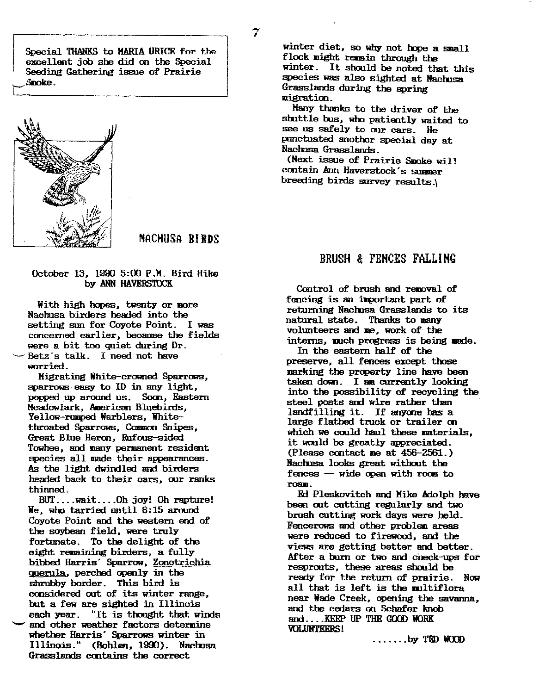Special THANKS to MARIA URTCR for the excellent job she did 00. the Special Seeding Gathering issue of Prairie t:Smoke



NACHUSA BIRDS

### October 13, 19005:00 P.M.Bird Hike

With high hopes, twenty or more Nachusa birders headed into the setting sun for Coyote Point. I was concerned earlier, because the fields were a bit too quiet during Dr. Betz's talk. I need not have worried.

Migrating White-crowned Sparrows, sparrows easy to ID in any light, popped up around us. Soon, Eastern Meadowlark, American Bluebirds, Yellow-rumped Warblers, Whitethroated Sparrows, Common Snipes, Great Blue Herm, Rufous-sided Towhee, and many permanent resident species all made their appearances. As the light dwindled and birders headed back to their cars, our ranks thinned.

BUT.... wait.... Oh joy! Oh rapture! We, who tarried until 6:15 around Coyote Point and the western end of the soybean field, were truly fortunate. To the delight of the eight remaining birders, a fully bibbed Harris' Sparrow, Zonotrichia querula. perched openly in the shrubby border. This bird is considered out of its winter range, but a few are sighted in Illinois each year. "It is thooght that winds and other weather factors determine whether Harris' Sparrows winter in Illinois." (Bohlen, 1990). Nachusa Grasslands cmtains the correct

winter diet, so why not hope a small flock might remain through the winter. It should be noted that this species was also sighted at Naclnsa Grasslands during the spring mieration.

Manythanks to the driver of the shuttle bus, who patiently waited to see us safely to our cars. He punctuated another special day at NachusaGrasslands.

(Next issue of Prairie Smoke will contain Ann Haverstock's summer breeding birds survey results.\

#### BRUSH & FENCES FALLING

by ANN HAVERSTOCK Control of brush and removal of fencing is an important part of returning Nachusa Grasslands to its natural state. Thanks to many volunteers and me, work of the interns, much progress is being made.

> In the eastern half of the preserve, all fences except those marking the property line have been taken down. I am currently looking into the possibility of recycling the steel posts and wire rather than landfilling it. If anyone has a large flatbed truck or trailer on which we could haul these materials, it would be greatly appreciated. (Please contact me at  $456-2561$ .) Nachusa looks great without the  $f$  ences  $-$  wide open with room to roam.

Ed Pleskovitch and Mike Adolph have been out cutting regularly and two brush cutting workdays were held. Fencerows and other problem areas were reduced to firewood, and the views are getting better and better. Mter a burn or two and check-ups for resprouts, these areas should be ready for the return of prairie. Now all that is left is the multiflora near Wade Creek, opening the savanna, and the cedars en Schafer knob and.... KEEP UP THE GOOD WORK VOLUNTEERS!

 $\ldots$ .... by TED WOOD